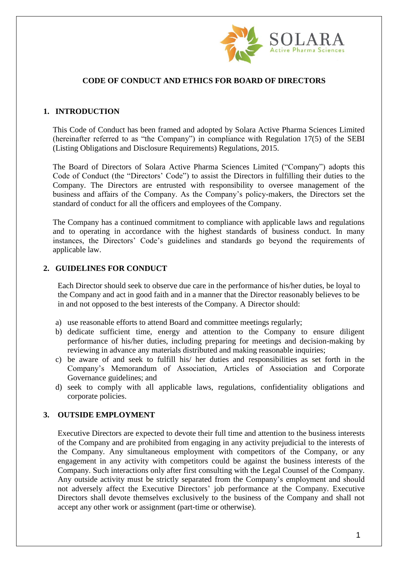

## **CODE OF CONDUCT AND ETHICS FOR BOARD OF DIRECTORS**

## **1. INTRODUCTION**

This Code of Conduct has been framed and adopted by Solara Active Pharma Sciences Limited (hereinafter referred to as "the Company") in compliance with Regulation 17(5) of the SEBI (Listing Obligations and Disclosure Requirements) Regulations, 2015.

The Board of Directors of Solara Active Pharma Sciences Limited ("Company") adopts this Code of Conduct (the "Directors' Code") to assist the Directors in fulfilling their duties to the Company. The Directors are entrusted with responsibility to oversee management of the business and affairs of the Company. As the Company's policy-makers, the Directors set the standard of conduct for all the officers and employees of the Company.

The Company has a continued commitment to compliance with applicable laws and regulations and to operating in accordance with the highest standards of business conduct. In many instances, the Directors' Code's guidelines and standards go beyond the requirements of applicable law.

## **2. GUIDELINES FOR CONDUCT**

Each Director should seek to observe due care in the performance of his/her duties, be loyal to the Company and act in good faith and in a manner that the Director reasonably believes to be in and not opposed to the best interests of the Company. A Director should:

- a) use reasonable efforts to attend Board and committee meetings regularly;
- b) dedicate sufficient time, energy and attention to the Company to ensure diligent performance of his/her duties, including preparing for meetings and decision-making by reviewing in advance any materials distributed and making reasonable inquiries;
- c) be aware of and seek to fulfill his/ her duties and responsibilities as set forth in the Company's Memorandum of Association, Articles of Association and Corporate Governance guidelines; and
- d) seek to comply with all applicable laws, regulations, confidentiality obligations and corporate policies.

#### **3. OUTSIDE EMPLOYMENT**

Executive Directors are expected to devote their full time and attention to the business interests of the Company and are prohibited from engaging in any activity prejudicial to the interests of the Company. Any simultaneous employment with competitors of the Company, or any engagement in any activity with competitors could be against the business interests of the Company. Such interactions only after first consulting with the Legal Counsel of the Company. Any outside activity must be strictly separated from the Company's employment and should not adversely affect the Executive Directors' job performance at the Company. Executive Directors shall devote themselves exclusively to the business of the Company and shall not accept any other work or assignment (part‐time or otherwise).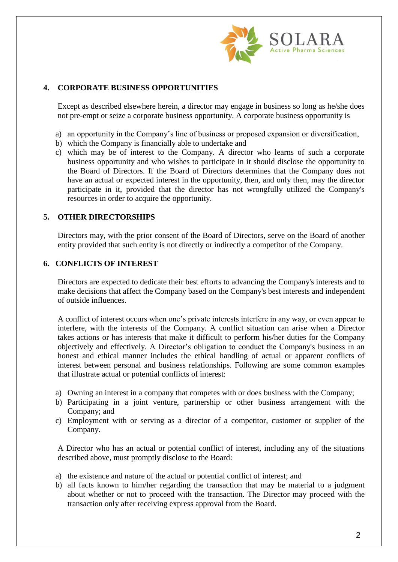

## **4. CORPORATE BUSINESS OPPORTUNITIES**

Except as described elsewhere herein, a director may engage in business so long as he/she does not pre-empt or seize a corporate business opportunity. A corporate business opportunity is

- a) an opportunity in the Company's line of business or proposed expansion or diversification,
- b) which the Company is financially able to undertake and
- c) which may be of interest to the Company. A director who learns of such a corporate business opportunity and who wishes to participate in it should disclose the opportunity to the Board of Directors. If the Board of Directors determines that the Company does not have an actual or expected interest in the opportunity, then, and only then, may the director participate in it, provided that the director has not wrongfully utilized the Company's resources in order to acquire the opportunity.

### **5. OTHER DIRECTORSHIPS**

Directors may, with the prior consent of the Board of Directors, serve on the Board of another entity provided that such entity is not directly or indirectly a competitor of the Company.

### **6. CONFLICTS OF INTEREST**

Directors are expected to dedicate their best efforts to advancing the Company's interests and to make decisions that affect the Company based on the Company's best interests and independent of outside influences.

A conflict of interest occurs when one's private interests interfere in any way, or even appear to interfere, with the interests of the Company. A conflict situation can arise when a Director takes actions or has interests that make it difficult to perform his/her duties for the Company objectively and effectively. A Director's obligation to conduct the Company's business in an honest and ethical manner includes the ethical handling of actual or apparent conflicts of interest between personal and business relationships. Following are some common examples that illustrate actual or potential conflicts of interest:

- a) Owning an interest in a company that competes with or does business with the Company;
- b) Participating in a joint venture, partnership or other business arrangement with the Company; and
- c) Employment with or serving as a director of a competitor, customer or supplier of the Company.

A Director who has an actual or potential conflict of interest, including any of the situations described above, must promptly disclose to the Board:

- a) the existence and nature of the actual or potential conflict of interest; and
- b) all facts known to him/her regarding the transaction that may be material to a judgment about whether or not to proceed with the transaction. The Director may proceed with the transaction only after receiving express approval from the Board.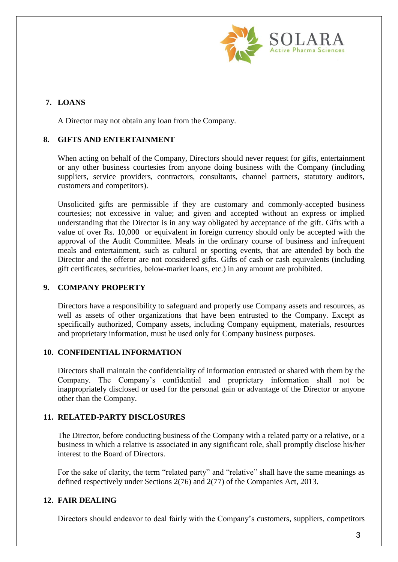

# **7. LOANS**

A Director may not obtain any loan from the Company.

## **8. GIFTS AND ENTERTAINMENT**

When acting on behalf of the Company, Directors should never request for gifts, entertainment or any other business courtesies from anyone doing business with the Company (including suppliers, service providers, contractors, consultants, channel partners, statutory auditors, customers and competitors).

Unsolicited gifts are permissible if they are customary and commonly-accepted business courtesies; not excessive in value; and given and accepted without an express or implied understanding that the Director is in any way obligated by acceptance of the gift. Gifts with a value of over Rs. 10,000 or equivalent in foreign currency should only be accepted with the approval of the Audit Committee. Meals in the ordinary course of business and infrequent meals and entertainment, such as cultural or sporting events, that are attended by both the Director and the offeror are not considered gifts. Gifts of cash or cash equivalents (including gift certificates, securities, below-market loans, etc.) in any amount are prohibited.

# **9. COMPANY PROPERTY**

Directors have a responsibility to safeguard and properly use Company assets and resources, as well as assets of other organizations that have been entrusted to the Company. Except as specifically authorized, Company assets, including Company equipment, materials, resources and proprietary information, must be used only for Company business purposes.

# **10. CONFIDENTIAL INFORMATION**

Directors shall maintain the confidentiality of information entrusted or shared with them by the Company. The Company's confidential and proprietary information shall not be inappropriately disclosed or used for the personal gain or advantage of the Director or anyone other than the Company.

# **11. RELATED-PARTY DISCLOSURES**

The Director, before conducting business of the Company with a related party or a relative, or a business in which a relative is associated in any significant role, shall promptly disclose his/her interest to the Board of Directors.

For the sake of clarity, the term "related party" and "relative" shall have the same meanings as defined respectively under Sections 2(76) and 2(77) of the Companies Act, 2013.

## **12. FAIR DEALING**

Directors should endeavor to deal fairly with the Company's customers, suppliers, competitors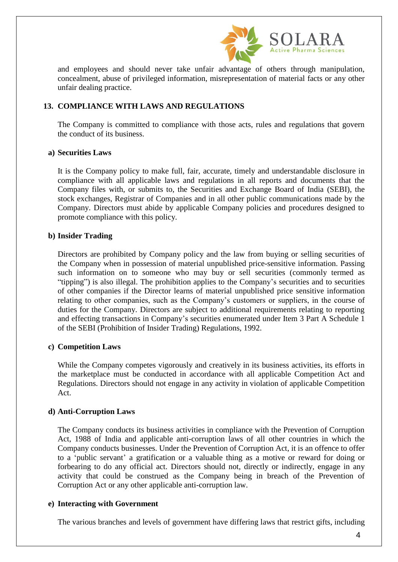

and employees and should never take unfair advantage of others through manipulation, concealment, abuse of privileged information, misrepresentation of material facts or any other unfair dealing practice.

## **13. COMPLIANCE WITH LAWS AND REGULATIONS**

The Company is committed to compliance with those acts, rules and regulations that govern the conduct of its business.

#### **a) Securities Laws**

It is the Company policy to make full, fair, accurate, timely and understandable disclosure in compliance with all applicable laws and regulations in all reports and documents that the Company files with, or submits to, the Securities and Exchange Board of India (SEBI), the stock exchanges, Registrar of Companies and in all other public communications made by the Company. Directors must abide by applicable Company policies and procedures designed to promote compliance with this policy.

#### **b) Insider Trading**

Directors are prohibited by Company policy and the law from buying or selling securities of the Company when in possession of material unpublished price-sensitive information. Passing such information on to someone who may buy or sell securities (commonly termed as "tipping") is also illegal. The prohibition applies to the Company's securities and to securities of other companies if the Director learns of material unpublished price sensitive information relating to other companies, such as the Company's customers or suppliers, in the course of duties for the Company. Directors are subject to additional requirements relating to reporting and effecting transactions in Company's securities enumerated under Item 3 Part A Schedule 1 of the SEBI (Prohibition of Insider Trading) Regulations, 1992.

#### **c) Competition Laws**

While the Company competes vigorously and creatively in its business activities, its efforts in the marketplace must be conducted in accordance with all applicable Competition Act and Regulations. Directors should not engage in any activity in violation of applicable Competition Act.

#### **d) Anti-Corruption Laws**

The Company conducts its business activities in compliance with the Prevention of Corruption Act, 1988 of India and applicable anti-corruption laws of all other countries in which the Company conducts businesses. Under the Prevention of Corruption Act, it is an offence to offer to a 'public servant' a gratification or a valuable thing as a motive or reward for doing or forbearing to do any official act. Directors should not, directly or indirectly, engage in any activity that could be construed as the Company being in breach of the Prevention of Corruption Act or any other applicable anti-corruption law.

#### **e) Interacting with Government**

The various branches and levels of government have differing laws that restrict gifts, including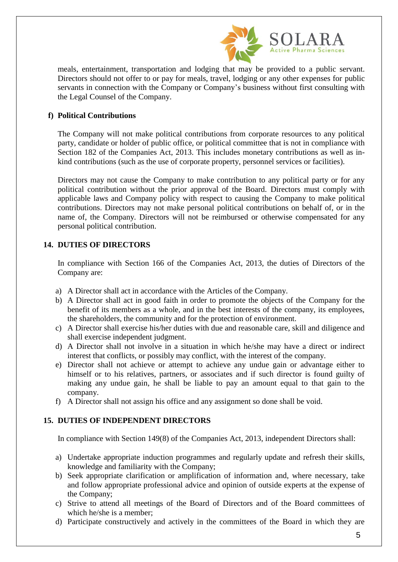

meals, entertainment, transportation and lodging that may be provided to a public servant. Directors should not offer to or pay for meals, travel, lodging or any other expenses for public servants in connection with the Company or Company's business without first consulting with the Legal Counsel of the Company.

## **f) Political Contributions**

The Company will not make political contributions from corporate resources to any political party, candidate or holder of public office, or political committee that is not in compliance with Section 182 of the Companies Act, 2013. This includes monetary contributions as well as inkind contributions (such as the use of corporate property, personnel services or facilities).

Directors may not cause the Company to make contribution to any political party or for any political contribution without the prior approval of the Board. Directors must comply with applicable laws and Company policy with respect to causing the Company to make political contributions. Directors may not make personal political contributions on behalf of, or in the name of, the Company. Directors will not be reimbursed or otherwise compensated for any personal political contribution.

### **14. DUTIES OF DIRECTORS**

In compliance with Section 166 of the Companies Act, 2013, the duties of Directors of the Company are:

- a) A Director shall act in accordance with the Articles of the Company.
- b) A Director shall act in good faith in order to promote the objects of the Company for the benefit of its members as a whole, and in the best interests of the company, its employees, the shareholders, the community and for the protection of environment.
- c) A Director shall exercise his/her duties with due and reasonable care, skill and diligence and shall exercise independent judgment.
- d) A Director shall not involve in a situation in which he/she may have a direct or indirect interest that conflicts, or possibly may conflict, with the interest of the company.
- e) Director shall not achieve or attempt to achieve any undue gain or advantage either to himself or to his relatives, partners, or associates and if such director is found guilty of making any undue gain, he shall be liable to pay an amount equal to that gain to the company.
- f) A Director shall not assign his office and any assignment so done shall be void.

## **15. DUTIES OF INDEPENDENT DIRECTORS**

In compliance with Section 149(8) of the Companies Act, 2013, independent Directors shall:

- a) Undertake appropriate induction programmes and regularly update and refresh their skills, knowledge and familiarity with the Company;
- b) Seek appropriate clarification or amplification of information and, where necessary, take and follow appropriate professional advice and opinion of outside experts at the expense of the Company;
- c) Strive to attend all meetings of the Board of Directors and of the Board committees of which he/she is a member;
- d) Participate constructively and actively in the committees of the Board in which they are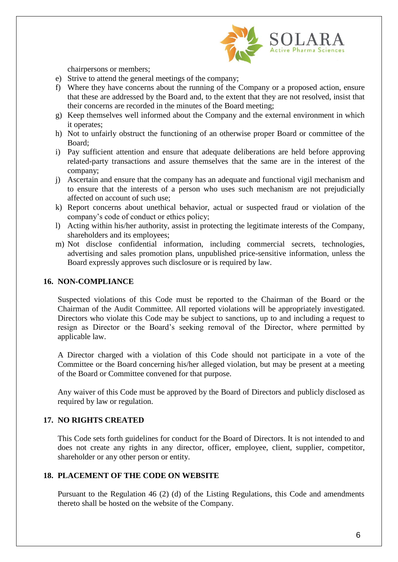

chairpersons or members;

- e) Strive to attend the general meetings of the company;
- f) Where they have concerns about the running of the Company or a proposed action, ensure that these are addressed by the Board and, to the extent that they are not resolved, insist that their concerns are recorded in the minutes of the Board meeting;
- g) Keep themselves well informed about the Company and the external environment in which it operates;
- h) Not to unfairly obstruct the functioning of an otherwise proper Board or committee of the Board;
- i) Pay sufficient attention and ensure that adequate deliberations are held before approving related-party transactions and assure themselves that the same are in the interest of the company;
- j) Ascertain and ensure that the company has an adequate and functional vigil mechanism and to ensure that the interests of a person who uses such mechanism are not prejudicially affected on account of such use;
- k) Report concerns about unethical behavior, actual or suspected fraud or violation of the company's code of conduct or ethics policy;
- l) Acting within his/her authority, assist in protecting the legitimate interests of the Company, shareholders and its employees;
- m) Not disclose confidential information, including commercial secrets, technologies, advertising and sales promotion plans, unpublished price-sensitive information, unless the Board expressly approves such disclosure or is required by law.

### **16. NON-COMPLIANCE**

Suspected violations of this Code must be reported to the Chairman of the Board or the Chairman of the Audit Committee. All reported violations will be appropriately investigated. Directors who violate this Code may be subject to sanctions, up to and including a request to resign as Director or the Board's seeking removal of the Director, where permitted by applicable law.

A Director charged with a violation of this Code should not participate in a vote of the Committee or the Board concerning his/her alleged violation, but may be present at a meeting of the Board or Committee convened for that purpose.

Any waiver of this Code must be approved by the Board of Directors and publicly disclosed as required by law or regulation.

#### **17. NO RIGHTS CREATED**

This Code sets forth guidelines for conduct for the Board of Directors. It is not intended to and does not create any rights in any director, officer, employee, client, supplier, competitor, shareholder or any other person or entity.

## **18. PLACEMENT OF THE CODE ON WEBSITE**

Pursuant to the Regulation 46 (2) (d) of the Listing Regulations, this Code and amendments thereto shall be hosted on the website of the Company.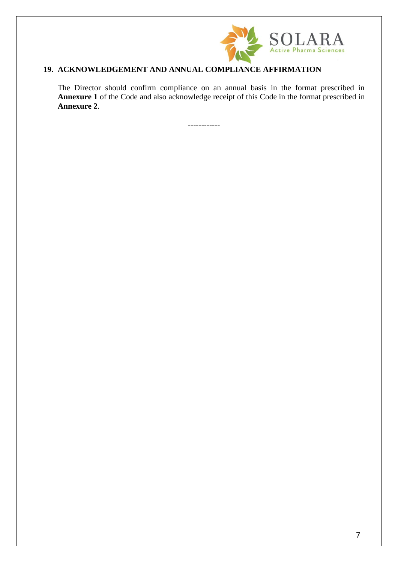

# **19. ACKNOWLEDGEMENT AND ANNUAL COMPLIANCE AFFIRMATION**

The Director should confirm compliance on an annual basis in the format prescribed in **Annexure 1** of the Code and also acknowledge receipt of this Code in the format prescribed in **Annexure 2**.

------------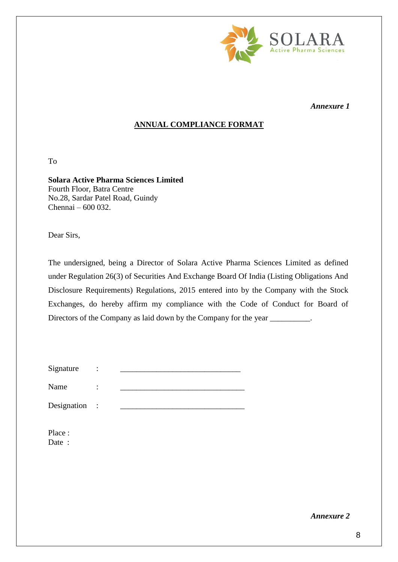

*Annexure 1* 

# **ANNUAL COMPLIANCE FORMAT**

To

**Solara Active Pharma Sciences Limited**  Fourth Floor, Batra Centre No.28, Sardar Patel Road, Guindy Chennai – 600 032.

Dear Sirs,

The undersigned, being a Director of Solara Active Pharma Sciences Limited as defined under Regulation 26(3) of Securities And Exchange Board Of India (Listing Obligations And Disclosure Requirements) Regulations, 2015 entered into by the Company with the Stock Exchanges, do hereby affirm my compliance with the Code of Conduct for Board of Directors of the Company as laid down by the Company for the year \_\_\_\_\_\_\_\_\_\_.

Name : <u>\_\_\_\_\_\_\_\_\_\_\_\_\_\_\_\_\_\_\_\_\_\_\_\_\_\_\_\_\_\_</u>

Designation :

Place : Date:

*Annexure 2*